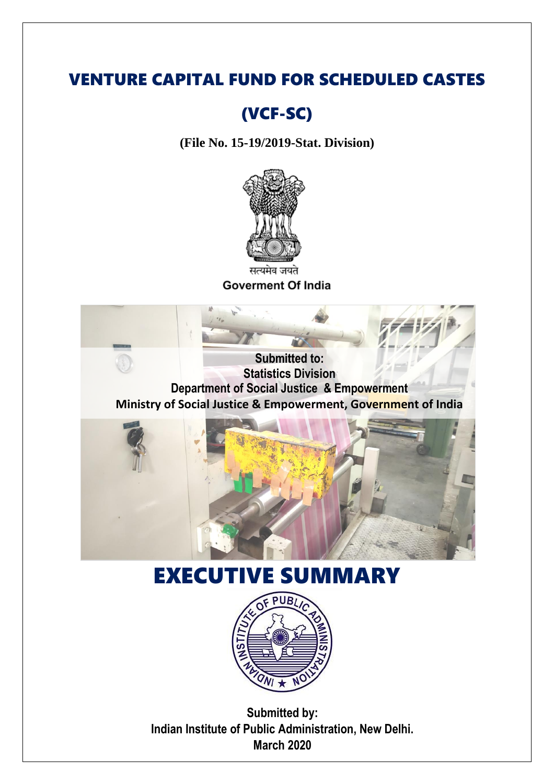## VENTURE CAPITAL FUND FOR SCHEDULED CASTES

## (VCF-SC)

**(File No. 15-19/2019-Stat. Division)**



सत्यमेव जयते **Goverment Of India** 

**Submitted to: Statistics Division Department of Social Justice & Empowerment Ministry of Social Justice & Empowerment, Government of India**



# EXECUTIVE SUMMARY



**Submitted by: Indian Institute of Public Administration, New Delhi. March 2020**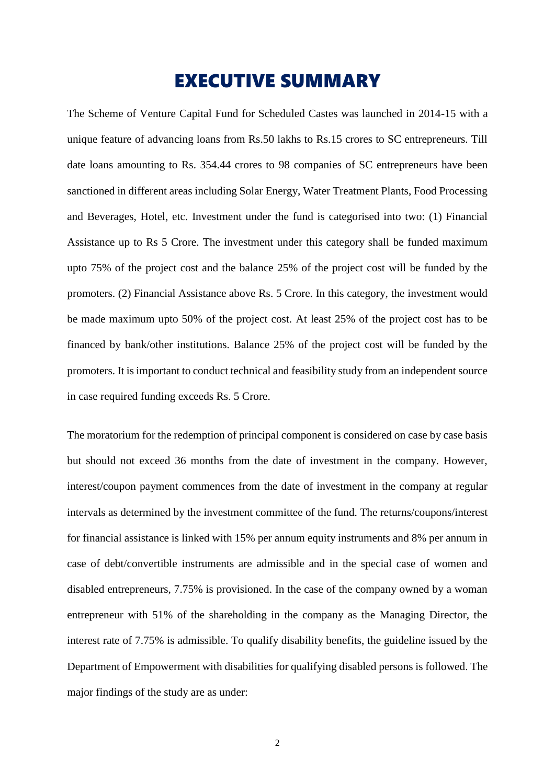### EXECUTIVE SUMMARY

The Scheme of Venture Capital Fund for Scheduled Castes was launched in 2014-15 with a unique feature of advancing loans from Rs.50 lakhs to Rs.15 crores to SC entrepreneurs. Till date loans amounting to Rs. 354.44 crores to 98 companies of SC entrepreneurs have been sanctioned in different areas including Solar Energy, Water Treatment Plants, Food Processing and Beverages, Hotel, etc. Investment under the fund is categorised into two: (1) Financial Assistance up to Rs 5 Crore. The investment under this category shall be funded maximum upto 75% of the project cost and the balance 25% of the project cost will be funded by the promoters. (2) Financial Assistance above Rs. 5 Crore. In this category, the investment would be made maximum upto 50% of the project cost. At least 25% of the project cost has to be financed by bank/other institutions. Balance 25% of the project cost will be funded by the promoters. It is important to conduct technical and feasibility study from an independent source in case required funding exceeds Rs. 5 Crore.

The moratorium for the redemption of principal component is considered on case by case basis but should not exceed 36 months from the date of investment in the company. However, interest/coupon payment commences from the date of investment in the company at regular intervals as determined by the investment committee of the fund. The returns/coupons/interest for financial assistance is linked with 15% per annum equity instruments and 8% per annum in case of debt/convertible instruments are admissible and in the special case of women and disabled entrepreneurs, 7.75% is provisioned. In the case of the company owned by a woman entrepreneur with 51% of the shareholding in the company as the Managing Director, the interest rate of 7.75% is admissible. To qualify disability benefits, the guideline issued by the Department of Empowerment with disabilities for qualifying disabled persons is followed. The major findings of the study are as under: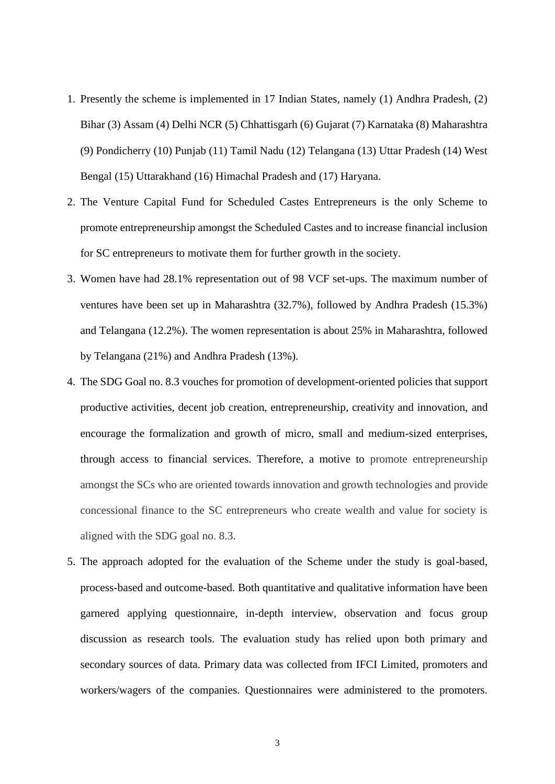- 1. Presently the scheme is implemented in 17 Indian States, namely (1) Andhra Pradesh, (2) Bihar (3) Assam (4) Delhi NCR (5) Chhattisgarh (6) Gujarat (7) Karnataka (8) Maharashtra (9) Pondicherry (10) Punjab (11) Tamil Nadu (12) Telangana (13) Uttar Pradesh (14) West Bengal (15) Uttarakhand (16) Himachal Pradesh and (17) Haryana.
- 2. The Venture Capital Fund for Scheduled Castes Entrepreneurs is the only Scheme to promote entrepreneurship amongst the Scheduled Castes and to increase financial inclusion for SC entrepreneurs to motivate them for further growth in the society.
- 3. Women have had 28.1% representation out of 98 VCF set-ups. The maximum number of ventures have been set up in Maharashtra (32.7%), followed by Andhra Pradesh (15.3%) and Telangana (12.2%). The women representation is about 25% in Maharashtra, followed by Telangana (21%) and Andhra Pradesh (13%).
- 4. The SDG Goal no. 8.3 vouches for promotion of development-oriented policies that support productive activities, decent job creation, entrepreneurship, creativity and innovation, and encourage the formalization and growth of micro, small and medium-sized enterprises, through access to financial services. Therefore, a motive to promote entrepreneurship amongst the SCs who are oriented towards innovation and growth technologies and provide concessional finance to the SC entrepreneurs who create wealth and value for society is aligned with the SDG goal no. 8.3.
- 5. The approach adopted for the evaluation of the Scheme under the study is goal-based, process-based and outcome-based. Both quantitative and qualitative information have been garnered applying questionnaire, in-depth interview, observation and focus group discussion as research tools. The evaluation study has relied upon both primary and secondary sources of data. Primary data was collected from IFCI Limited, promoters and workers/wagers of the companies. Questionnaires were administered to the promoters.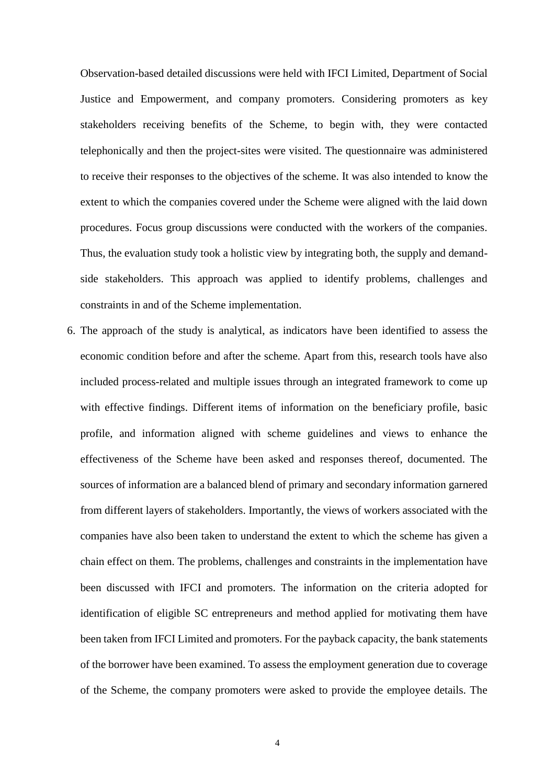Observation-based detailed discussions were held with IFCI Limited, Department of Social Justice and Empowerment, and company promoters. Considering promoters as key stakeholders receiving benefits of the Scheme, to begin with, they were contacted telephonically and then the project-sites were visited. The questionnaire was administered to receive their responses to the objectives of the scheme. It was also intended to know the extent to which the companies covered under the Scheme were aligned with the laid down procedures. Focus group discussions were conducted with the workers of the companies. Thus, the evaluation study took a holistic view by integrating both, the supply and demandside stakeholders. This approach was applied to identify problems, challenges and constraints in and of the Scheme implementation.

6. The approach of the study is analytical, as indicators have been identified to assess the economic condition before and after the scheme. Apart from this, research tools have also included process-related and multiple issues through an integrated framework to come up with effective findings. Different items of information on the beneficiary profile, basic profile, and information aligned with scheme guidelines and views to enhance the effectiveness of the Scheme have been asked and responses thereof, documented. The sources of information are a balanced blend of primary and secondary information garnered from different layers of stakeholders. Importantly, the views of workers associated with the companies have also been taken to understand the extent to which the scheme has given a chain effect on them. The problems, challenges and constraints in the implementation have been discussed with IFCI and promoters. The information on the criteria adopted for identification of eligible SC entrepreneurs and method applied for motivating them have been taken from IFCI Limited and promoters. For the payback capacity, the bank statements of the borrower have been examined. To assess the employment generation due to coverage of the Scheme, the company promoters were asked to provide the employee details. The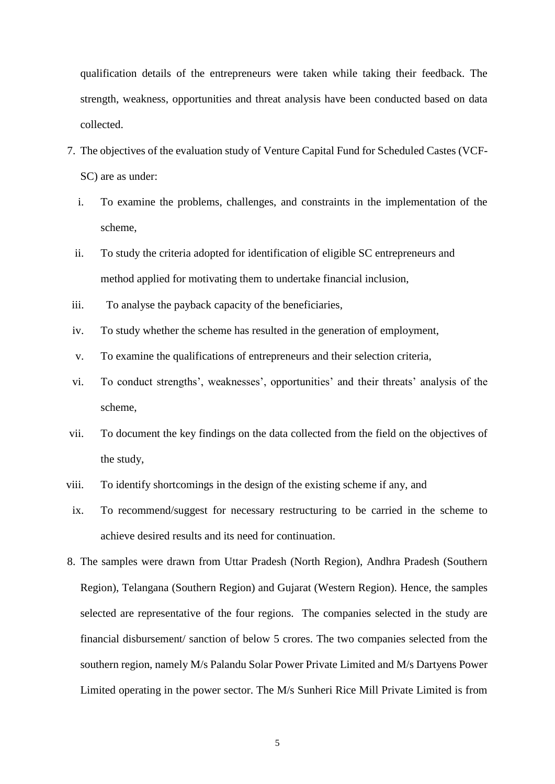qualification details of the entrepreneurs were taken while taking their feedback. The strength, weakness, opportunities and threat analysis have been conducted based on data collected.

- 7. The objectives of the evaluation study of Venture Capital Fund for Scheduled Castes (VCF-SC) are as under:
	- i. To examine the problems, challenges, and constraints in the implementation of the scheme,
	- ii. To study the criteria adopted for identification of eligible SC entrepreneurs and method applied for motivating them to undertake financial inclusion,
- iii. To analyse the payback capacity of the beneficiaries,
- iv. To study whether the scheme has resulted in the generation of employment,
- v. To examine the qualifications of entrepreneurs and their selection criteria,
- vi. To conduct strengths', weaknesses', opportunities' and their threats' analysis of the scheme,
- vii. To document the key findings on the data collected from the field on the objectives of the study,
- viii. To identify shortcomings in the design of the existing scheme if any, and
- ix. To recommend/suggest for necessary restructuring to be carried in the scheme to achieve desired results and its need for continuation.
- 8. The samples were drawn from Uttar Pradesh (North Region), Andhra Pradesh (Southern Region), Telangana (Southern Region) and Gujarat (Western Region). Hence, the samples selected are representative of the four regions. The companies selected in the study are financial disbursement/ sanction of below 5 crores. The two companies selected from the southern region, namely M/s Palandu Solar Power Private Limited and M/s Dartyens Power Limited operating in the power sector. The M/s Sunheri Rice Mill Private Limited is from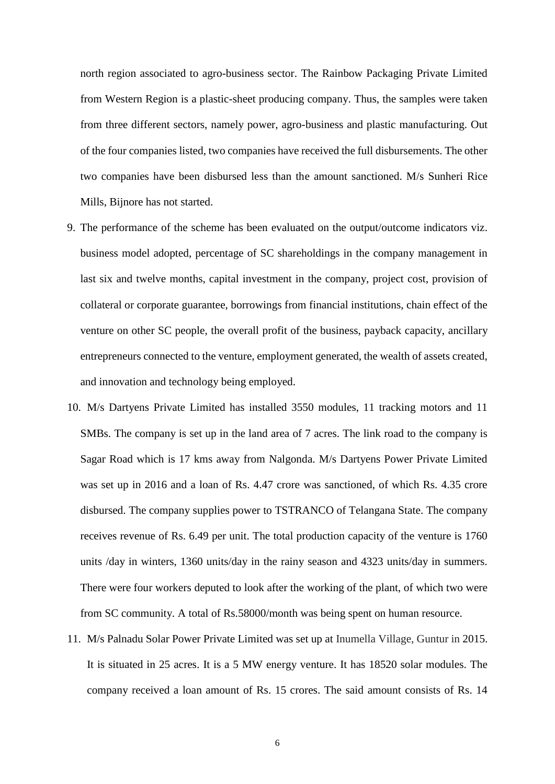north region associated to agro-business sector. The Rainbow Packaging Private Limited from Western Region is a plastic-sheet producing company. Thus, the samples were taken from three different sectors, namely power, agro-business and plastic manufacturing. Out of the four companies listed, two companies have received the full disbursements. The other two companies have been disbursed less than the amount sanctioned. M/s Sunheri Rice Mills, Bijnore has not started.

- 9. The performance of the scheme has been evaluated on the output/outcome indicators viz. business model adopted, percentage of SC shareholdings in the company management in last six and twelve months, capital investment in the company, project cost, provision of collateral or corporate guarantee, borrowings from financial institutions, chain effect of the venture on other SC people, the overall profit of the business, payback capacity, ancillary entrepreneurs connected to the venture, employment generated, the wealth of assets created, and innovation and technology being employed.
- 10. M/s Dartyens Private Limited has installed 3550 modules, 11 tracking motors and 11 SMBs. The company is set up in the land area of 7 acres. The link road to the company is Sagar Road which is 17 kms away from Nalgonda. M/s Dartyens Power Private Limited was set up in 2016 and a loan of Rs. 4.47 crore was sanctioned, of which Rs. 4.35 crore disbursed. The company supplies power to TSTRANCO of Telangana State. The company receives revenue of Rs. 6.49 per unit. The total production capacity of the venture is 1760 units /day in winters, 1360 units/day in the rainy season and 4323 units/day in summers. There were four workers deputed to look after the working of the plant, of which two were from SC community. A total of Rs.58000/month was being spent on human resource.
- 11. M/s Palnadu Solar Power Private Limited was set up at Inumella Village, Guntur in 2015. It is situated in 25 acres. It is a 5 MW energy venture. It has 18520 solar modules. The company received a loan amount of Rs. 15 crores. The said amount consists of Rs. 14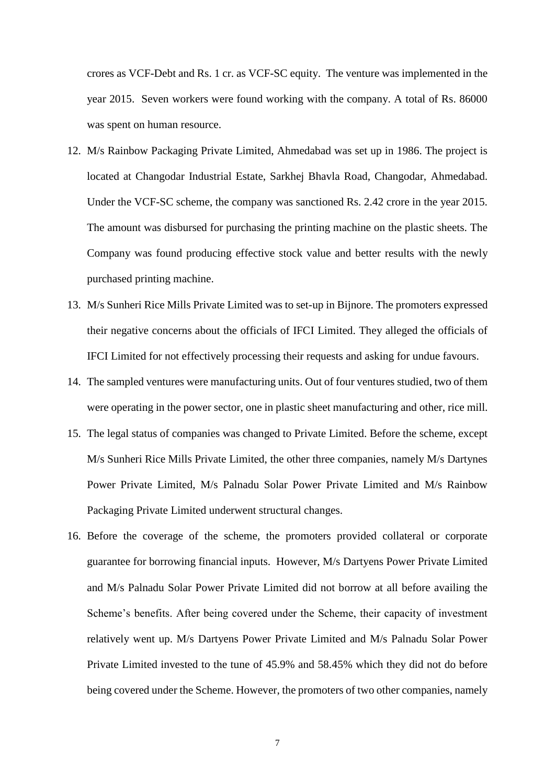crores as VCF-Debt and Rs. 1 cr. as VCF-SC equity. The venture was implemented in the year 2015. Seven workers were found working with the company. A total of Rs. 86000 was spent on human resource.

- 12. M/s Rainbow Packaging Private Limited, Ahmedabad was set up in 1986. The project is located at Changodar Industrial Estate, Sarkhej Bhavla Road, Changodar, Ahmedabad. Under the VCF-SC scheme, the company was sanctioned Rs. 2.42 crore in the year 2015. The amount was disbursed for purchasing the printing machine on the plastic sheets. The Company was found producing effective stock value and better results with the newly purchased printing machine.
- 13. M/s Sunheri Rice Mills Private Limited was to set-up in Bijnore. The promoters expressed their negative concerns about the officials of IFCI Limited. They alleged the officials of IFCI Limited for not effectively processing their requests and asking for undue favours.
- 14. The sampled ventures were manufacturing units. Out of four ventures studied, two of them were operating in the power sector, one in plastic sheet manufacturing and other, rice mill.
- 15. The legal status of companies was changed to Private Limited. Before the scheme, except M/s Sunheri Rice Mills Private Limited, the other three companies, namely M/s Dartynes Power Private Limited, M/s Palnadu Solar Power Private Limited and M/s Rainbow Packaging Private Limited underwent structural changes.
- 16. Before the coverage of the scheme, the promoters provided collateral or corporate guarantee for borrowing financial inputs. However, M/s Dartyens Power Private Limited and M/s Palnadu Solar Power Private Limited did not borrow at all before availing the Scheme's benefits. After being covered under the Scheme, their capacity of investment relatively went up. M/s Dartyens Power Private Limited and M/s Palnadu Solar Power Private Limited invested to the tune of 45.9% and 58.45% which they did not do before being covered under the Scheme. However, the promoters of two other companies, namely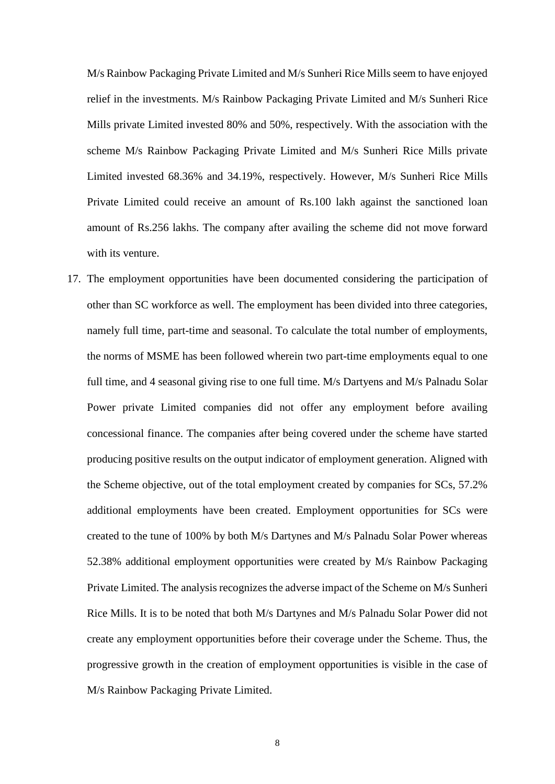M/s Rainbow Packaging Private Limited and M/s Sunheri Rice Mills seem to have enjoyed relief in the investments. M/s Rainbow Packaging Private Limited and M/s Sunheri Rice Mills private Limited invested 80% and 50%, respectively. With the association with the scheme M/s Rainbow Packaging Private Limited and M/s Sunheri Rice Mills private Limited invested 68.36% and 34.19%, respectively. However, M/s Sunheri Rice Mills Private Limited could receive an amount of Rs.100 lakh against the sanctioned loan amount of Rs.256 lakhs. The company after availing the scheme did not move forward with its venture.

17. The employment opportunities have been documented considering the participation of other than SC workforce as well. The employment has been divided into three categories, namely full time, part-time and seasonal. To calculate the total number of employments, the norms of MSME has been followed wherein two part-time employments equal to one full time, and 4 seasonal giving rise to one full time. M/s Dartyens and M/s Palnadu Solar Power private Limited companies did not offer any employment before availing concessional finance. The companies after being covered under the scheme have started producing positive results on the output indicator of employment generation. Aligned with the Scheme objective, out of the total employment created by companies for SCs, 57.2% additional employments have been created. Employment opportunities for SCs were created to the tune of 100% by both M/s Dartynes and M/s Palnadu Solar Power whereas 52.38% additional employment opportunities were created by M/s Rainbow Packaging Private Limited. The analysis recognizes the adverse impact of the Scheme on M/s Sunheri Rice Mills. It is to be noted that both M/s Dartynes and M/s Palnadu Solar Power did not create any employment opportunities before their coverage under the Scheme. Thus, the progressive growth in the creation of employment opportunities is visible in the case of M/s Rainbow Packaging Private Limited.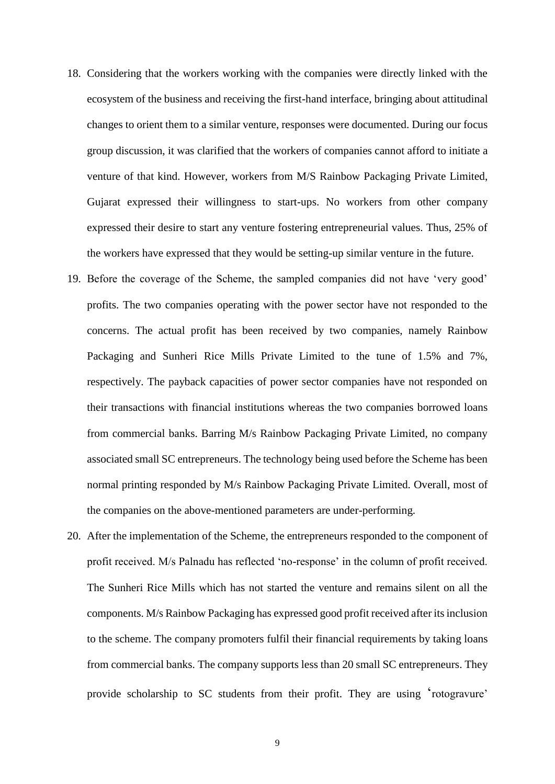- 18. Considering that the workers working with the companies were directly linked with the ecosystem of the business and receiving the first-hand interface, bringing about attitudinal changes to orient them to a similar venture, responses were documented. During our focus group discussion, it was clarified that the workers of companies cannot afford to initiate a venture of that kind. However, workers from M/S Rainbow Packaging Private Limited, Gujarat expressed their willingness to start-ups. No workers from other company expressed their desire to start any venture fostering entrepreneurial values. Thus, 25% of the workers have expressed that they would be setting-up similar venture in the future.
- 19. Before the coverage of the Scheme, the sampled companies did not have 'very good' profits. The two companies operating with the power sector have not responded to the concerns. The actual profit has been received by two companies, namely Rainbow Packaging and Sunheri Rice Mills Private Limited to the tune of 1.5% and 7%, respectively. The payback capacities of power sector companies have not responded on their transactions with financial institutions whereas the two companies borrowed loans from commercial banks. Barring M/s Rainbow Packaging Private Limited, no company associated small SC entrepreneurs. The technology being used before the Scheme has been normal printing responded by M/s Rainbow Packaging Private Limited. Overall, most of the companies on the above-mentioned parameters are under-performing.
- 20. After the implementation of the Scheme, the entrepreneurs responded to the component of profit received. M/s Palnadu has reflected 'no-response' in the column of profit received. The Sunheri Rice Mills which has not started the venture and remains silent on all the components. M/s Rainbow Packaging has expressed good profit received after its inclusion to the scheme. The company promoters fulfil their financial requirements by taking loans from commercial banks. The company supports less than 20 small SC entrepreneurs. They provide scholarship to SC students from their profit. They are using 'rotogravure'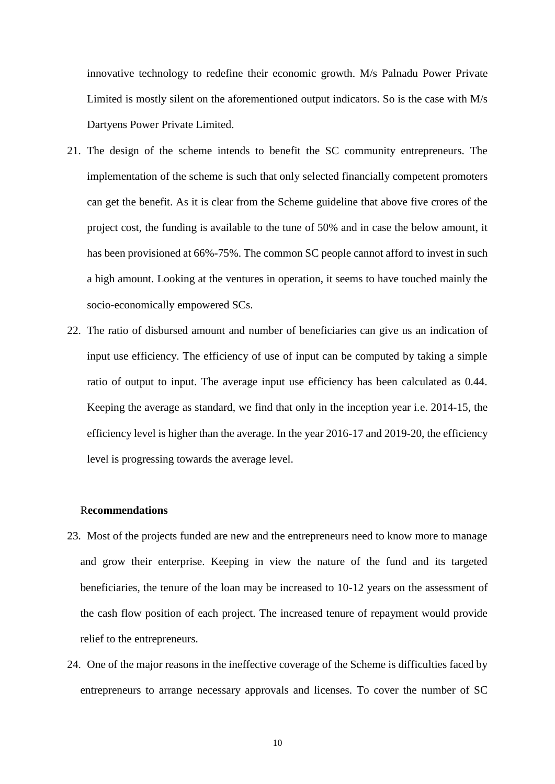innovative technology to redefine their economic growth. M/s Palnadu Power Private Limited is mostly silent on the aforementioned output indicators. So is the case with M/s Dartyens Power Private Limited.

- 21. The design of the scheme intends to benefit the SC community entrepreneurs. The implementation of the scheme is such that only selected financially competent promoters can get the benefit. As it is clear from the Scheme guideline that above five crores of the project cost, the funding is available to the tune of 50% and in case the below amount, it has been provisioned at 66%-75%. The common SC people cannot afford to invest in such a high amount. Looking at the ventures in operation, it seems to have touched mainly the socio-economically empowered SCs.
- 22. The ratio of disbursed amount and number of beneficiaries can give us an indication of input use efficiency. The efficiency of use of input can be computed by taking a simple ratio of output to input. The average input use efficiency has been calculated as 0.44. Keeping the average as standard, we find that only in the inception year i.e. 2014-15, the efficiency level is higher than the average. In the year 2016-17 and 2019-20, the efficiency level is progressing towards the average level.

#### R**ecommendations**

- 23. Most of the projects funded are new and the entrepreneurs need to know more to manage and grow their enterprise. Keeping in view the nature of the fund and its targeted beneficiaries, the tenure of the loan may be increased to 10-12 years on the assessment of the cash flow position of each project. The increased tenure of repayment would provide relief to the entrepreneurs.
- 24. One of the major reasons in the ineffective coverage of the Scheme is difficulties faced by entrepreneurs to arrange necessary approvals and licenses. To cover the number of SC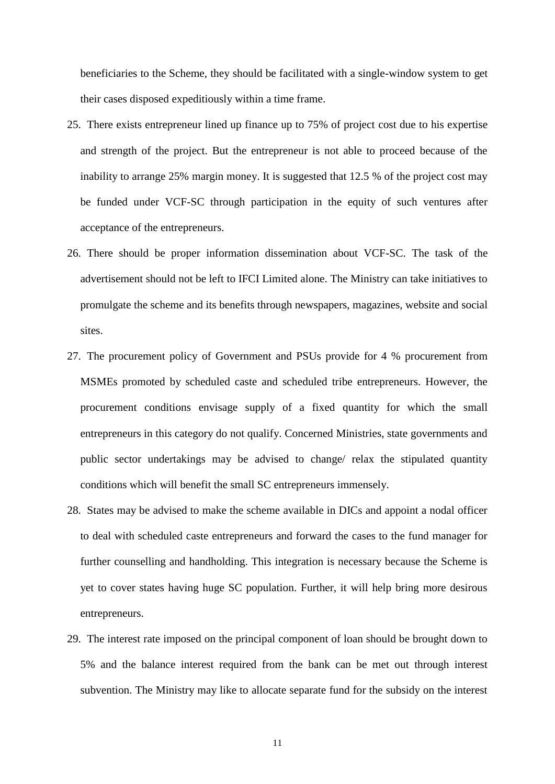beneficiaries to the Scheme, they should be facilitated with a single-window system to get their cases disposed expeditiously within a time frame.

- 25. There exists entrepreneur lined up finance up to 75% of project cost due to his expertise and strength of the project. But the entrepreneur is not able to proceed because of the inability to arrange 25% margin money. It is suggested that 12.5 % of the project cost may be funded under VCF-SC through participation in the equity of such ventures after acceptance of the entrepreneurs.
- 26. There should be proper information dissemination about VCF-SC. The task of the advertisement should not be left to IFCI Limited alone. The Ministry can take initiatives to promulgate the scheme and its benefits through newspapers, magazines, website and social sites.
- 27. The procurement policy of Government and PSUs provide for 4 % procurement from MSMEs promoted by scheduled caste and scheduled tribe entrepreneurs. However, the procurement conditions envisage supply of a fixed quantity for which the small entrepreneurs in this category do not qualify. Concerned Ministries, state governments and public sector undertakings may be advised to change/ relax the stipulated quantity conditions which will benefit the small SC entrepreneurs immensely.
- 28. States may be advised to make the scheme available in DICs and appoint a nodal officer to deal with scheduled caste entrepreneurs and forward the cases to the fund manager for further counselling and handholding. This integration is necessary because the Scheme is yet to cover states having huge SC population. Further, it will help bring more desirous entrepreneurs.
- 29. The interest rate imposed on the principal component of loan should be brought down to 5% and the balance interest required from the bank can be met out through interest subvention. The Ministry may like to allocate separate fund for the subsidy on the interest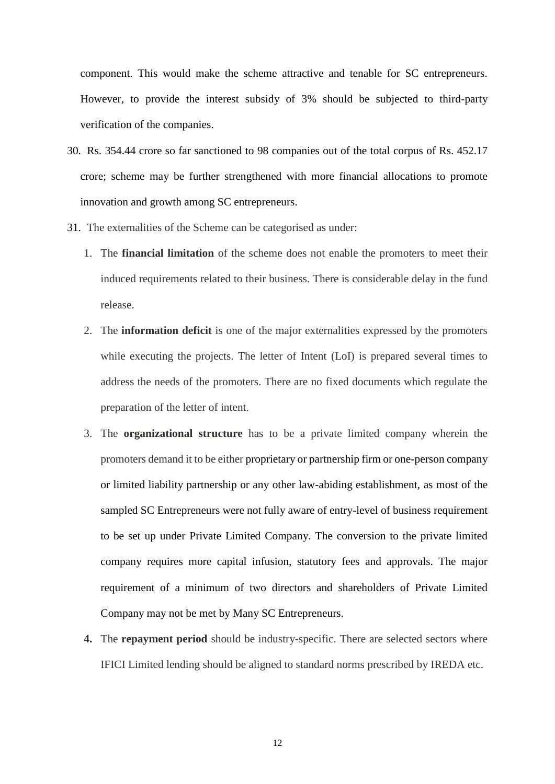component. This would make the scheme attractive and tenable for SC entrepreneurs. However, to provide the interest subsidy of 3% should be subjected to third-party verification of the companies.

- 30. Rs. 354.44 crore so far sanctioned to 98 companies out of the total corpus of Rs. 452.17 crore; scheme may be further strengthened with more financial allocations to promote innovation and growth among SC entrepreneurs.
- 31. The externalities of the Scheme can be categorised as under:
	- 1. The **financial limitation** of the scheme does not enable the promoters to meet their induced requirements related to their business. There is considerable delay in the fund release.
	- 2. The **information deficit** is one of the major externalities expressed by the promoters while executing the projects. The letter of Intent (LoI) is prepared several times to address the needs of the promoters. There are no fixed documents which regulate the preparation of the letter of intent.
	- 3. The **organizational structure** has to be a private limited company wherein the promoters demand it to be either proprietary or partnership firm or one-person company or limited liability partnership or any other law-abiding establishment, as most of the sampled SC Entrepreneurs were not fully aware of entry-level of business requirement to be set up under Private Limited Company. The conversion to the private limited company requires more capital infusion, statutory fees and approvals. The major requirement of a minimum of two directors and shareholders of Private Limited Company may not be met by Many SC Entrepreneurs.
	- **4.** The **repayment period** should be industry-specific. There are selected sectors where IFICI Limited lending should be aligned to standard norms prescribed by IREDA etc.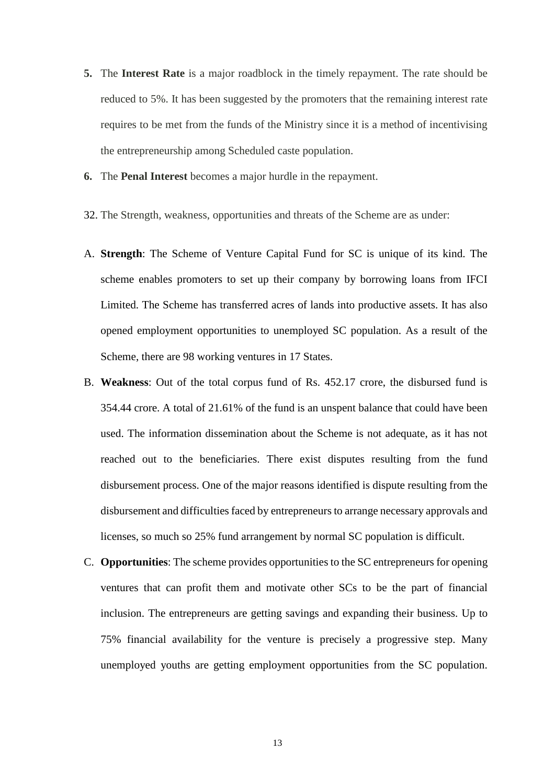- **5.** The **Interest Rate** is a major roadblock in the timely repayment. The rate should be reduced to 5%. It has been suggested by the promoters that the remaining interest rate requires to be met from the funds of the Ministry since it is a method of incentivising the entrepreneurship among Scheduled caste population.
- **6.** The **Penal Interest** becomes a major hurdle in the repayment.
- 32. The Strength, weakness, opportunities and threats of the Scheme are as under:
- A. **Strength**: The Scheme of Venture Capital Fund for SC is unique of its kind. The scheme enables promoters to set up their company by borrowing loans from IFCI Limited. The Scheme has transferred acres of lands into productive assets. It has also opened employment opportunities to unemployed SC population. As a result of the Scheme, there are 98 working ventures in 17 States.
- B. **Weakness**: Out of the total corpus fund of Rs. 452.17 crore, the disbursed fund is 354.44 crore. A total of 21.61% of the fund is an unspent balance that could have been used. The information dissemination about the Scheme is not adequate, as it has not reached out to the beneficiaries. There exist disputes resulting from the fund disbursement process. One of the major reasons identified is dispute resulting from the disbursement and difficulties faced by entrepreneurs to arrange necessary approvals and licenses, so much so 25% fund arrangement by normal SC population is difficult.
- C. **Opportunities**: The scheme provides opportunities to the SC entrepreneurs for opening ventures that can profit them and motivate other SCs to be the part of financial inclusion. The entrepreneurs are getting savings and expanding their business. Up to 75% financial availability for the venture is precisely a progressive step. Many unemployed youths are getting employment opportunities from the SC population.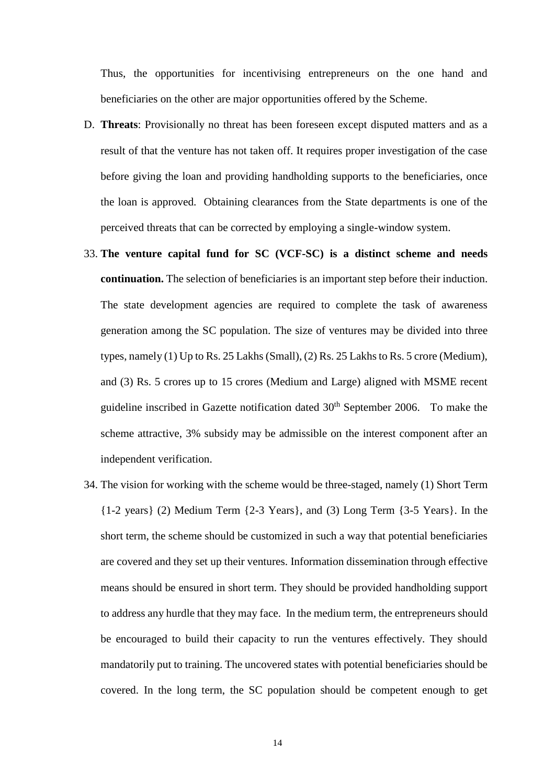Thus, the opportunities for incentivising entrepreneurs on the one hand and beneficiaries on the other are major opportunities offered by the Scheme.

- D. **Threats**: Provisionally no threat has been foreseen except disputed matters and as a result of that the venture has not taken off. It requires proper investigation of the case before giving the loan and providing handholding supports to the beneficiaries, once the loan is approved. Obtaining clearances from the State departments is one of the perceived threats that can be corrected by employing a single-window system.
- 33. **The venture capital fund for SC (VCF-SC) is a distinct scheme and needs continuation.** The selection of beneficiaries is an important step before their induction. The state development agencies are required to complete the task of awareness generation among the SC population. The size of ventures may be divided into three types, namely (1) Up to Rs. 25 Lakhs (Small), (2) Rs. 25 Lakhs to Rs. 5 crore (Medium), and (3) Rs. 5 crores up to 15 crores (Medium and Large) aligned with MSME recent guideline inscribed in Gazette notification dated 30<sup>th</sup> September 2006. To make the scheme attractive, 3% subsidy may be admissible on the interest component after an independent verification.
- 34. The vision for working with the scheme would be three-staged, namely (1) Short Term {1-2 years} (2) Medium Term {2-3 Years}, and (3) Long Term {3-5 Years}. In the short term, the scheme should be customized in such a way that potential beneficiaries are covered and they set up their ventures. Information dissemination through effective means should be ensured in short term. They should be provided handholding support to address any hurdle that they may face. In the medium term, the entrepreneurs should be encouraged to build their capacity to run the ventures effectively. They should mandatorily put to training. The uncovered states with potential beneficiaries should be covered. In the long term, the SC population should be competent enough to get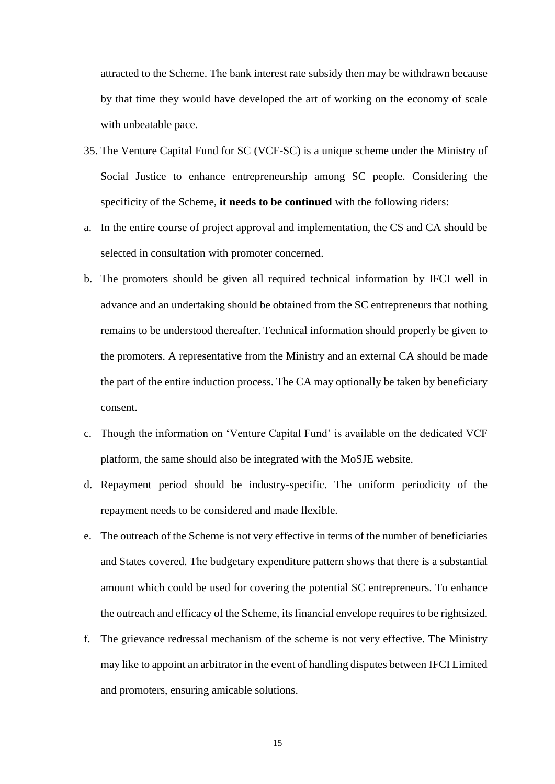attracted to the Scheme. The bank interest rate subsidy then may be withdrawn because by that time they would have developed the art of working on the economy of scale with unbeatable pace.

- 35. The Venture Capital Fund for SC (VCF-SC) is a unique scheme under the Ministry of Social Justice to enhance entrepreneurship among SC people. Considering the specificity of the Scheme, **it needs to be continued** with the following riders:
- a. In the entire course of project approval and implementation, the CS and CA should be selected in consultation with promoter concerned.
- b. The promoters should be given all required technical information by IFCI well in advance and an undertaking should be obtained from the SC entrepreneurs that nothing remains to be understood thereafter. Technical information should properly be given to the promoters. A representative from the Ministry and an external CA should be made the part of the entire induction process. The CA may optionally be taken by beneficiary consent.
- c. Though the information on 'Venture Capital Fund' is available on the dedicated VCF platform, the same should also be integrated with the MoSJE website.
- d. Repayment period should be industry-specific. The uniform periodicity of the repayment needs to be considered and made flexible.
- e. The outreach of the Scheme is not very effective in terms of the number of beneficiaries and States covered. The budgetary expenditure pattern shows that there is a substantial amount which could be used for covering the potential SC entrepreneurs. To enhance the outreach and efficacy of the Scheme, its financial envelope requires to be rightsized.
- f. The grievance redressal mechanism of the scheme is not very effective. The Ministry may like to appoint an arbitrator in the event of handling disputes between IFCI Limited and promoters, ensuring amicable solutions.